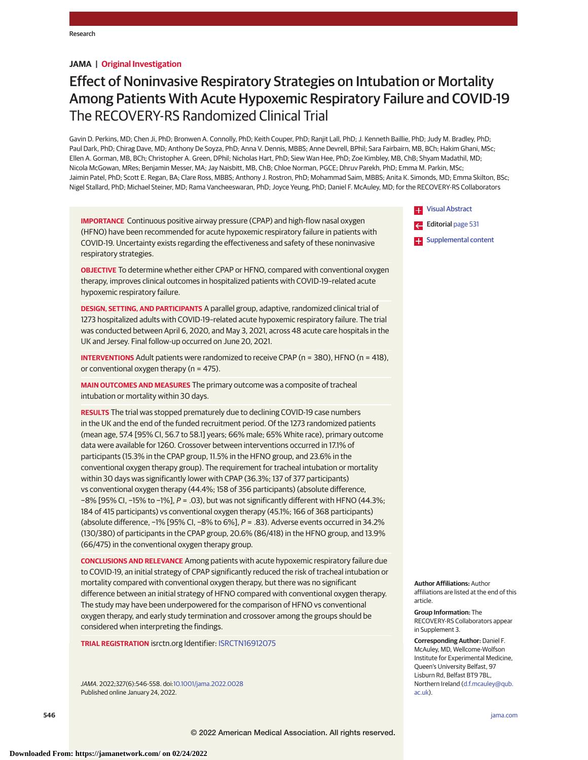# **JAMA | Original Investigation**

# Effect of Noninvasive Respiratory Strategies on Intubation or Mortality Among Patients With Acute Hypoxemic Respiratory Failure and COVID-19 The RECOVERY-RS Randomized Clinical Trial

Gavin D. Perkins, MD; Chen Ji, PhD; Bronwen A. Connolly, PhD; Keith Couper, PhD; Ranjit Lall, PhD; J. Kenneth Baillie, PhD; Judy M. Bradley, PhD; Paul Dark, PhD; Chirag Dave, MD; Anthony De Soyza, PhD; Anna V. Dennis, MBBS; Anne Devrell, BPhil; Sara Fairbairn, MB, BCh; Hakim Ghani, MSc; Ellen A. Gorman, MB, BCh; Christopher A. Green, DPhil; Nicholas Hart, PhD; Siew Wan Hee, PhD; Zoe Kimbley, MB, ChB; Shyam Madathil, MD; Nicola McGowan, MRes; Benjamin Messer, MA; Jay Naisbitt, MB, ChB; Chloe Norman, PGCE; Dhruv Parekh, PhD; Emma M. Parkin, MSc; Jaimin Patel, PhD; Scott E. Regan, BA; Clare Ross, MBBS; Anthony J. Rostron, PhD; Mohammad Saim, MBBS; Anita K. Simonds, MD; Emma Skilton, BSc; Nigel Stallard, PhD; Michael Steiner, MD; Rama Vancheeswaran, PhD; Joyce Yeung, PhD; Daniel F. McAuley, MD; for the RECOVERY-RS Collaborators

**IMPORTANCE** Continuous positive airway pressure (CPAP) and high-flow nasal oxygen (HFNO) have been recommended for acute hypoxemic respiratory failure in patients with COVID-19. Uncertainty exists regarding the effectiveness and safety of these noninvasive respiratory strategies.

**OBJECTIVE** To determine whether either CPAP or HFNO, compared with conventional oxygen therapy, improves clinical outcomes in hospitalized patients with COVID-19–related acute hypoxemic respiratory failure.

**DESIGN, SETTING, AND PARTICIPANTS** A parallel group, adaptive, randomized clinical trial of 1273 hospitalized adults with COVID-19–related acute hypoxemic respiratory failure. The trial was conducted between April 6, 2020, and May 3, 2021, across 48 acute care hospitals in the UK and Jersey. Final follow-up occurred on June 20, 2021.

**INTERVENTIONS** Adult patients were randomized to receive CPAP (n = 380), HFNO (n = 418), or conventional oxygen therapy (n = 475).

**MAIN OUTCOMES AND MEASURES** The primary outcome was a composite of tracheal intubation or mortality within 30 days.

**RESULTS** The trial was stopped prematurely due to declining COVID-19 case numbers in the UK and the end of the funded recruitment period. Of the 1273 randomized patients (mean age, 57.4 [95% CI, 56.7 to 58.1] years; 66% male; 65% White race), primary outcome data were available for 1260. Crossover between interventions occurred in 17.1% of participants (15.3% in the CPAP group, 11.5% in the HFNO group, and 23.6% in the conventional oxygen therapy group). The requirement for tracheal intubation or mortality within 30 days was significantly lower with CPAP (36.3%; 137 of 377 participants) vs conventional oxygen therapy (44.4%; 158 of 356 participants) (absolute difference, −8% [95% CI, −15% to −1%], P = .03), but was not significantly different with HFNO (44.3%; 184 of 415 participants) vs conventional oxygen therapy (45.1%; 166 of 368 participants) (absolute difference, −1% [95% CI, −8% to 6%], P = .83). Adverse events occurred in 34.2% (130/380) of participants in the CPAP group, 20.6% (86/418) in the HFNO group, and 13.9% (66/475) in the conventional oxygen therapy group.

**CONCLUSIONS AND RELEVANCE** Among patients with acute hypoxemic respiratory failure due to COVID-19, an initial strategy of CPAP significantly reduced the risk of tracheal intubation or mortality compared with conventional oxygen therapy, but there was no significant difference between an initial strategy of HFNO compared with conventional oxygen therapy. The study may have been underpowered for the comparison of HFNO vs conventional oxygen therapy, and early study termination and crossover among the groups should be considered when interpreting the findings.

**TRIAL REGISTRATION** isrctn.org Identifier: [ISRCTN16912075](https://www.isrctn.com/ISRCTN16912075?q=ISRCTN16912075&filters=&sort=&offset=1&totalResults=1&page=1&pageSize=10&searchType=basic-search)

JAMA. 2022;327(6):546-558. doi[:10.1001/jama.2022.0028](https://jamanetwork.com/journals/jama/fullarticle/10.1001/jama.2022.0028?utm_campaign=articlePDF%26utm_medium=articlePDFlink%26utm_source=articlePDF%26utm_content=jama.2022.0028) Published online January 24, 2022.

**TH** [Visual Abstract](https://jamanetwork.com/journals/jama/fullarticle/10.1001/jama.2022.0028?utm_campaign=articlePDF%26utm_medium=articlePDFlink%26utm_source=articlePDF%26utm_content=jama.2022.0028) Editorial [page 531](https://jamanetwork.com/journals/jama/fullarticle/10.1001/jama.2022.0067?utm_campaign=articlePDF%26utm_medium=articlePDFlink%26utm_source=articlePDF%26utm_content=jama.2022.0028)

**Examplemental content** 

**Author Affiliations:** Author affiliations are listed at the end of this article.

**Group Information:** The RECOVERY-RS Collaborators appear in Supplement 3.

**Corresponding Author:** Daniel F. McAuley, MD, Wellcome-Wolfson Institute for Experimental Medicine, Queen's University Belfast, 97 Lisburn Rd, Belfast BT9 7BL, Northern Ireland [\(d.f.mcauley@qub.](mailto:d.f.mcauley@qub.ac.uk) [ac.uk\)](mailto:d.f.mcauley@qub.ac.uk).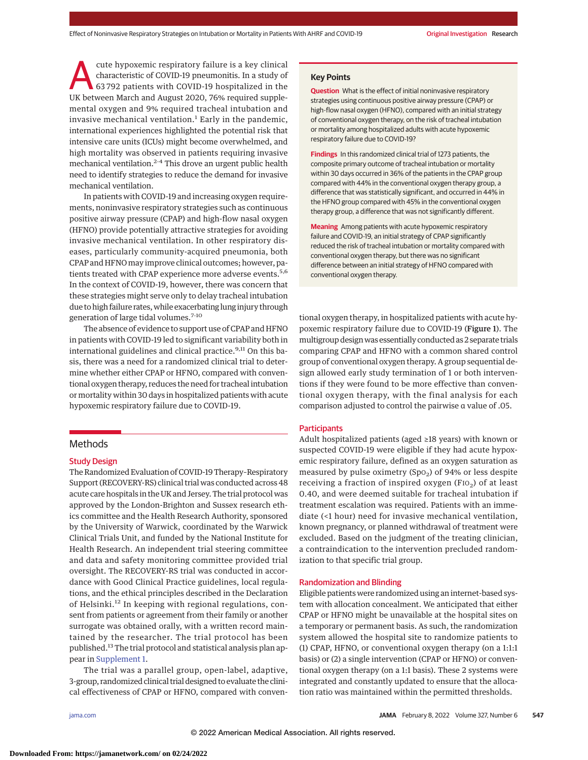cute hypoxemic respiratory failure is a key clinical characteristic of COVID-19 pneumonitis. In a study of 63 792 patients with COVID-19 hospitalized in the UK between March and August 2020, 76% required supplemental oxygen and 9% required tracheal intubation and invasive mechanical ventilation. $<sup>1</sup>$  Early in the pandemic,</sup> international experiences highlighted the potential risk that intensive care units (ICUs) might become overwhelmed, and high mortality was observed in patients requiring invasive mechanical ventilation.<sup>2-4</sup> This drove an urgent public health need to identify strategies to reduce the demand for invasive mechanical ventilation.

In patients with COVID-19 and increasing oxygen requirements, noninvasive respiratory strategies such as continuous positive airway pressure (CPAP) and high-flow nasal oxygen (HFNO) provide potentially attractive strategies for avoiding invasive mechanical ventilation. In other respiratory diseases, particularly community-acquired pneumonia, both CPAP and HFNO may improve clinical outcomes; however, patients treated with CPAP experience more adverse events.<sup>5,6</sup> In the context of COVID-19, however, there was concern that these strategies might serve only to delay tracheal intubation due to high failure rates, while exacerbating lung injury through generation of large tidal volumes.<sup>7-10</sup>

The absence of evidence to support use of CPAP and HFNO in patients with COVID-19 led to significant variability both in international guidelines and clinical practice.<sup>9,11</sup> On this basis, there was a need for a randomized clinical trial to determine whether either CPAP or HFNO, compared with conventional oxygen therapy, reduces the need for tracheal intubation or mortality within 30 days in hospitalized patients with acute hypoxemic respiratory failure due to COVID-19.

# Methods

#### Study Design

The Randomized Evaluation of COVID-19 Therapy–Respiratory Support (RECOVERY-RS) clinical trial was conducted across 48 acute care hospitals in the UK and Jersey. The trial protocol was approved by the London-Brighton and Sussex research ethics committee and the Health Research Authority, sponsored by the University of Warwick, coordinated by the Warwick Clinical Trials Unit, and funded by the National Institute for Health Research. An independent trial steering committee and data and safety monitoring committee provided trial oversight. The RECOVERY-RS trial was conducted in accordance with Good Clinical Practice guidelines, local regulations, and the ethical principles described in the Declaration of Helsinki.<sup>12</sup> In keeping with regional regulations, consent from patients or agreement from their family or another surrogate was obtained orally, with a written record maintained by the researcher. The trial protocol has been published.<sup>13</sup> The trial protocol and statistical analysis plan appear in [Supplement 1.](https://jamanetwork.com/journals/jama/fullarticle/10.1001/jama.2022.0028?utm_campaign=articlePDF%26utm_medium=articlePDFlink%26utm_source=articlePDF%26utm_content=jama.2022.0028)

The trial was a parallel group, open-label, adaptive, 3-group, randomized clinical trial designed to evaluate the clinical effectiveness of CPAP or HFNO, compared with conven-

# **Key Points**

**Question** What is the effect of initial noninvasive respiratory strategies using continuous positive airway pressure (CPAP) or high-flow nasal oxygen (HFNO), compared with an initial strategy of conventional oxygen therapy, on the risk of tracheal intubation or mortality among hospitalized adults with acute hypoxemic respiratory failure due to COVID-19?

**Findings** In this randomized clinical trial of 1273 patients, the composite primary outcome of tracheal intubation or mortality within 30 days occurred in 36% of the patients in the CPAP group compared with 44% in the conventional oxygen therapy group, a difference that was statistically significant, and occurred in 44% in the HFNO group compared with 45% in the conventional oxygen therapy group, a difference that was not significantly different.

**Meaning** Among patients with acute hypoxemic respiratory failure and COVID-19, an initial strategy of CPAP significantly reduced the risk of tracheal intubation or mortality compared with conventional oxygen therapy, but there was no significant difference between an initial strategy of HFNO compared with conventional oxygen therapy.

tional oxygen therapy, in hospitalized patients with acute hypoxemic respiratory failure due to COVID-19 (Figure 1). The multigroup designwas essentially conducted as 2 separate trials comparing CPAP and HFNO with a common shared control group of conventional oxygen therapy. A group sequential design allowed early study termination of 1 or both interventions if they were found to be more effective than conventional oxygen therapy, with the final analysis for each comparison adjusted to control the pairwise α value of .05.

# **Participants**

Adult hospitalized patients (aged ≥18 years) with known or suspected COVID-19 were eligible if they had acute hypoxemic respiratory failure, defined as an oxygen saturation as measured by pulse oximetry (SpO<sub>2</sub>) of 94% or less despite receiving a fraction of inspired oxygen (FIO<sub>2</sub>) of at least 0.40, and were deemed suitable for tracheal intubation if treatment escalation was required. Patients with an immediate (<1 hour) need for invasive mechanical ventilation, known pregnancy, or planned withdrawal of treatment were excluded. Based on the judgment of the treating clinician, a contraindication to the intervention precluded randomization to that specific trial group.

### Randomization and Blinding

Eligible patients were randomized using an internet-based system with allocation concealment. We anticipated that either CPAP or HFNO might be unavailable at the hospital sites on a temporary or permanent basis. As such, the randomization system allowed the hospital site to randomize patients to (1) CPAP, HFNO, or conventional oxygen therapy (on a 1:1:1 basis) or (2) a single intervention (CPAP or HFNO) or conventional oxygen therapy (on a 1:1 basis). These 2 systems were integrated and constantly updated to ensure that the allocation ratio was maintained within the permitted thresholds.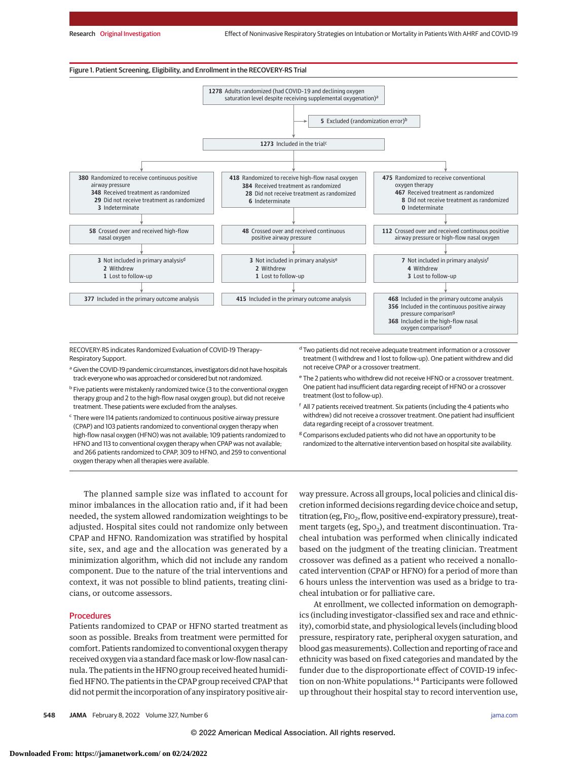

Respiratory Support.

- <sup>a</sup> Given the COVID-19 pandemic circumstances, investigators did not have hospitals track everyone who was approached or considered but not randomized.
- <sup>b</sup> Five patients were mistakenly randomized twice (3 to the conventional oxygen therapy group and 2 to the high-flow nasal oxygen group), but did not receive treatment. These patients were excluded from the analyses.
- <sup>c</sup> There were 114 patients randomized to continuous positive airway pressure (CPAP) and 103 patients randomized to conventional oxygen therapy when high-flow nasal oxygen (HFNO) was not available; 109 patients randomized to HFNO and 113 to conventional oxygen therapy when CPAP was not available; and 266 patients randomized to CPAP, 309 to HFNO, and 259 to conventional oxygen therapy when all therapies were available.
- treatment (1 withdrew and 1 lost to follow-up). One patient withdrew and did not receive CPAP or a crossover treatment.
- e The 2 patients who withdrew did not receive HFNO or a crossover treatment. One patient had insufficient data regarding receipt of HFNO or a crossover treatment (lost to follow-up).
- <sup>f</sup> All 7 patients received treatment. Six patients (including the 4 patients who withdrew) did not receive a crossover treatment. One patient had insufficient data regarding receipt of a crossover treatment.
- <sup>g</sup> Comparisons excluded patients who did not have an opportunity to be randomized to the alternative intervention based on hospital site availability.

The planned sample size was inflated to account for minor imbalances in the allocation ratio and, if it had been needed, the system allowed randomization weightings to be adjusted. Hospital sites could not randomize only between CPAP and HFNO. Randomization was stratified by hospital site, sex, and age and the allocation was generated by a minimization algorithm, which did not include any random component. Due to the nature of the trial interventions and context, it was not possible to blind patients, treating clinicians, or outcome assessors.

# Procedures

Patients randomized to CPAP or HFNO started treatment as soon as possible. Breaks from treatment were permitted for comfort. Patients randomized to conventional oxygen therapy received oxygen via a standard facemask or low-flow nasal cannula. The patients in the HFNO group received heated humidified HFNO. The patients in the CPAP group received CPAP that did not permit the incorporation of any inspiratory positive airway pressure. Across all groups, local policies and clinical discretion informed decisions regarding device choice and setup, titration (eg, FIO<sub>2</sub>, flow, positive end-expiratory pressure), treatment targets (eg,  $Spo<sub>2</sub>$ ), and treatment discontinuation. Tracheal intubation was performed when clinically indicated based on the judgment of the treating clinician. Treatment crossover was defined as a patient who received a nonallocated intervention (CPAP or HFNO) for a period of more than 6 hours unless the intervention was used as a bridge to tracheal intubation or for palliative care.

At enrollment, we collected information on demographics (including investigator-classified sex and race and ethnicity), comorbid state, and physiological levels (including blood pressure, respiratory rate, peripheral oxygen saturation, and blood gas measurements). Collection and reporting of race and ethnicity was based on fixed categories and mandated by the funder due to the disproportionate effect of COVID-19 infection on non-White populations.<sup>14</sup> Participants were followed up throughout their hospital stay to record intervention use,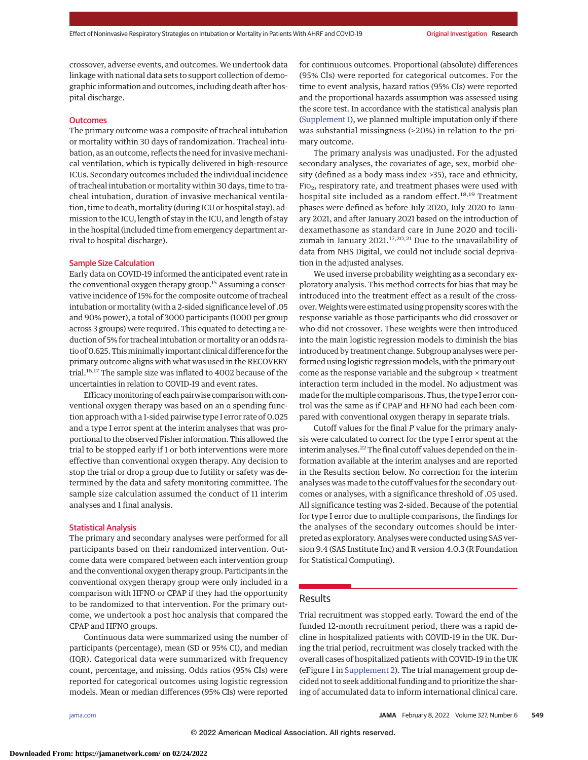crossover, adverse events, and outcomes. We undertook data linkage with national data sets to support collection of demographic information and outcomes, including death after hospital discharge.

#### **Outcomes**

The primary outcome was a composite of tracheal intubation or mortality within 30 days of randomization. Tracheal intubation, as an outcome, reflects the need for invasive mechanical ventilation, which is typically delivered in high-resource ICUs. Secondary outcomes included the individual incidence of tracheal intubation or mortality within 30 days, time to tracheal intubation, duration of invasive mechanical ventilation, time to death, mortality (during ICU or hospital stay), admission to the ICU, length of stay in the ICU, and length of stay in the hospital (included time from emergency department arrival to hospital discharge).

# Sample Size Calculation

Early data on COVID-19 informed the anticipated event rate in the conventional oxygen therapy group.<sup>15</sup> Assuming a conservative incidence of 15% for the composite outcome of tracheal intubation or mortality (with a 2-sided significance level of .05 and 90% power), a total of 3000 participants (1000 per group across 3 groups) were required. This equated to detecting a reduction of 5% for tracheal intubation or mortality or an odds ratio of 0.625. This minimally important clinical difference for the primary outcome aligns with what was used in the RECOVERY trial.<sup>16,17</sup> The sample size was inflated to 4002 because of the uncertainties in relation to COVID-19 and event rates.

Efficacymonitoring of each pairwise comparison with conventional oxygen therapy was based on an α spending function approach with a 1-sided pairwise type I error rate of 0.025 and a type I error spent at the interim analyses that was proportional to the observed Fisher information. This allowed the trial to be stopped early if 1 or both interventions were more effective than conventional oxygen therapy. Any decision to stop the trial or drop a group due to futility or safety was determined by the data and safety monitoring committee. The sample size calculation assumed the conduct of 11 interim analyses and 1 final analysis.

# Statistical Analysis

The primary and secondary analyses were performed for all participants based on their randomized intervention. Outcome data were compared between each intervention group and the conventional oxygen therapy group. Participants in the conventional oxygen therapy group were only included in a comparison with HFNO or CPAP if they had the opportunity to be randomized to that intervention. For the primary outcome, we undertook a post hoc analysis that compared the CPAP and HFNO groups.

Continuous data were summarized using the number of participants (percentage), mean (SD or 95% CI), and median (IQR). Categorical data were summarized with frequency count, percentage, and missing. Odds ratios (95% CIs) were reported for categorical outcomes using logistic regression models. Mean or median differences (95% CIs) were reported

for continuous outcomes. Proportional (absolute) differences (95% CIs) were reported for categorical outcomes. For the time to event analysis, hazard ratios (95% CIs) were reported and the proportional hazards assumption was assessed using the score test. In accordance with the statistical analysis plan [\(Supplement 1\)](https://jamanetwork.com/journals/jama/fullarticle/10.1001/jama.2022.0028?utm_campaign=articlePDF%26utm_medium=articlePDFlink%26utm_source=articlePDF%26utm_content=jama.2022.0028), we planned multiple imputation only if there was substantial missingness (≥20%) in relation to the primary outcome.

The primary analysis was unadjusted. For the adjusted secondary analyses, the covariates of age, sex, morbid obesity (defined as a body mass index >35), race and ethnicity,  $FIO<sub>2</sub>$ , respiratory rate, and treatment phases were used with hospital site included as a random effect.<sup>18,19</sup> Treatment phases were defined as before July 2020, July 2020 to January 2021, and after January 2021 based on the introduction of dexamethasone as standard care in June 2020 and tocilizumab in January  $2021$ .<sup>17,20,21</sup> Due to the unavailability of data from NHS Digital, we could not include social deprivation in the adjusted analyses.

We used inverse probability weighting as a secondary exploratory analysis. This method corrects for bias that may be introduced into the treatment effect as a result of the crossover.Weights were estimated using propensity scores with the response variable as those participants who did crossover or who did not crossover. These weights were then introduced into the main logistic regression models to diminish the bias introduced by treatment change. Subgroup analyses were performed using logistic regression models, with the primary outcome as the response variable and the subgroup × treatment interaction term included in the model. No adjustment was made for the multiple comparisons. Thus, the type I error control was the same as if CPAP and HFNO had each been compared with conventional oxygen therapy in separate trials.

Cutoff values for the final *P* value for the primary analysis were calculated to correct for the type I error spent at the interim analyses.<sup>22</sup> The final cutoff values depended on the information available at the interim analyses and are reported in the Results section below. No correction for the interim analyses was made to the cutoff values for the secondary outcomes or analyses, with a significance threshold of .05 used. All significance testing was 2-sided. Because of the potential for type I error due to multiple comparisons, the findings for the analyses of the secondary outcomes should be interpreted as exploratory. Analyses were conducted using SAS version 9.4 (SAS Institute Inc) and R version 4.0.3 (R Foundation for Statistical Computing).

#### Results

Trial recruitment was stopped early. Toward the end of the funded 12-month recruitment period, there was a rapid decline in hospitalized patients with COVID-19 in the UK. During the trial period, recruitment was closely tracked with the overall cases of hospitalized patients with COVID-19 in the UK (eFigure 1 in [Supplement 2\)](https://jamanetwork.com/journals/jama/fullarticle/10.1001/jama.2022.0028?utm_campaign=articlePDF%26utm_medium=articlePDFlink%26utm_source=articlePDF%26utm_content=jama.2022.0028). The trial management group decided not to seek additional funding and to prioritize the sharing of accumulated data to inform international clinical care.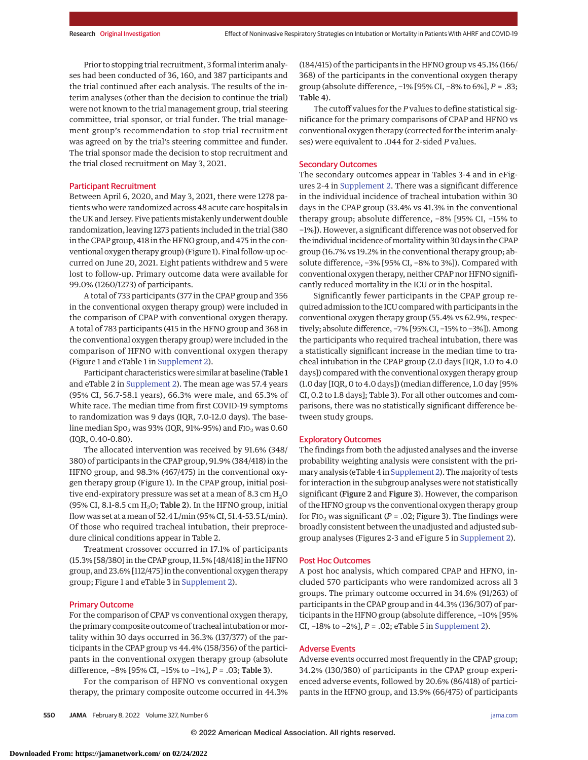Prior to stopping trial recruitment, 3 formal interim analyses had been conducted of 36, 160, and 387 participants and the trial continued after each analysis. The results of the interim analyses (other than the decision to continue the trial) were not known to the trial management group, trial steering committee, trial sponsor, or trial funder. The trial management group's recommendation to stop trial recruitment was agreed on by the trial's steering committee and funder. The trial sponsor made the decision to stop recruitment and the trial closed recruitment on May 3, 2021.

#### Participant Recruitment

Between April 6, 2020, and May 3, 2021, there were 1278 patients who were randomized across 48 acute care hospitals in the UK and Jersey. Five patients mistakenly underwent double randomization, leaving 1273 patients included in the trial (380 in the CPAP group, 418 in the HFNO group, and 475 in the conventional oxygen therapy group) (Figure 1). Final follow-up occurred on June 20, 2021. Eight patients withdrew and 5 were lost to follow-up. Primary outcome data were available for 99.0% (1260/1273) of participants.

A total of 733 participants (377 in the CPAP group and 356 in the conventional oxygen therapy group) were included in the comparison of CPAP with conventional oxygen therapy. A total of 783 participants (415 in the HFNO group and 368 in the conventional oxygen therapy group) were included in the comparison of HFNO with conventional oxygen therapy (Figure 1 and eTable 1 in [Supplement 2\)](https://jamanetwork.com/journals/jama/fullarticle/10.1001/jama.2022.0028?utm_campaign=articlePDF%26utm_medium=articlePDFlink%26utm_source=articlePDF%26utm_content=jama.2022.0028).

Participant characteristics were similar at baseline (Table 1 and eTable 2 in [Supplement 2\)](https://jamanetwork.com/journals/jama/fullarticle/10.1001/jama.2022.0028?utm_campaign=articlePDF%26utm_medium=articlePDFlink%26utm_source=articlePDF%26utm_content=jama.2022.0028). The mean age was 57.4 years (95% CI, 56.7-58.1 years), 66.3% were male, and 65.3% of White race. The median time from first COVID-19 symptoms to randomization was 9 days (IQR, 7.0-12.0 days). The baseline median Spo<sub>2</sub> was 93% (IQR, 91%-95%) and FIO<sub>2</sub> was 0.60 (IQR, 0.40-0.80).

The allocated intervention was received by 91.6% (348/ 380) of participants in the CPAP group, 91.9% (384/418) in the HFNO group, and 98.3% (467/475) in the conventional oxygen therapy group (Figure 1). In the CPAP group, initial positive end-expiratory pressure was set at a mean of 8.3 cm  $H_2O$ (95% CI, 8.1-8.5 cm  $H_2O$ ; Table 2). In the HFNO group, initial flow was set at a mean of 52.4 L/min (95% CI, 51.4-53.5 L/min). Of those who required tracheal intubation, their preprocedure clinical conditions appear in Table 2.

Treatment crossover occurred in 17.1% of participants (15.3% [58/380] in the CPAP group, 11.5% [48/418] in the HFNO group, and 23.6% [112/475] in the conventional oxygen therapy group; Figure 1 and eTable 3 in [Supplement 2\)](https://jamanetwork.com/journals/jama/fullarticle/10.1001/jama.2022.0028?utm_campaign=articlePDF%26utm_medium=articlePDFlink%26utm_source=articlePDF%26utm_content=jama.2022.0028).

#### Primary Outcome

For the comparison of CPAP vs conventional oxygen therapy, the primary composite outcome of tracheal intubation or mortality within 30 days occurred in 36.3% (137/377) of the participants in the CPAP group vs 44.4% (158/356) of the participants in the conventional oxygen therapy group (absolute difference, −8% [95% CI, −15% to −1%], *P* = .03; Table 3).

For the comparison of HFNO vs conventional oxygen therapy, the primary composite outcome occurred in 44.3% (184/415) of the participants in the HFNO group vs 45.1% (166/ 368) of the participants in the conventional oxygen therapy group (absolute difference, −1% [95% CI, −8% to 6%], *P* = .83; Table 4).

The cutoff values for the *P* values to define statistical significance for the primary comparisons of CPAP and HFNO vs conventional oxygen therapy (corrected for the interim analyses) were equivalent to .044 for 2-sided *P* values.

### Secondary Outcomes

The secondary outcomes appear in Tables 3-4 and in eFigures 2-4 in [Supplement 2.](https://jamanetwork.com/journals/jama/fullarticle/10.1001/jama.2022.0028?utm_campaign=articlePDF%26utm_medium=articlePDFlink%26utm_source=articlePDF%26utm_content=jama.2022.0028) There was a significant difference in the individual incidence of tracheal intubation within 30 days in the CPAP group (33.4% vs 41.3% in the conventional therapy group; absolute difference, −8% [95% CI, −15% to −1%]). However, a significant difference was not observed for the individual incidence of mortality within 30 days in the CPAP group (16.7% vs 19.2% in the conventional therapy group; absolute difference, −3% [95% CI, −8% to 3%]). Compared with conventional oxygen therapy, neither CPAP nor HFNO significantly reduced mortality in the ICU or in the hospital.

Significantly fewer participants in the CPAP group required admission to the ICU compared with participants in the conventional oxygen therapy group (55.4% vs 62.9%, respectively; absolute difference, −7% [95% CI, −15% to −3%]). Among the participants who required tracheal intubation, there was a statistically significant increase in the median time to tracheal intubation in the CPAP group (2.0 days [IQR, 1.0 to 4.0 days]) compared with the conventional oxygen therapy group (1.0 day [IQR, 0 to 4.0 days]) (median difference, 1.0 day [95% CI, 0.2 to 1.8 days]; Table 3). For all other outcomes and comparisons, there was no statistically significant difference between study groups.

#### Exploratory Outcomes

The findings from both the adjusted analyses and the inverse probability weighting analysis were consistent with the pri-mary analysis (eTable 4 in [Supplement 2\)](https://jamanetwork.com/journals/jama/fullarticle/10.1001/jama.2022.0028?utm_campaign=articlePDF%26utm_medium=articlePDFlink%26utm_source=articlePDF%26utm_content=jama.2022.0028). The majority of tests for interaction in the subgroup analyses were not statistically significant (Figure 2 and Figure 3). However, the comparison of the HFNO group vs the conventional oxygen therapy group for F<sub>IO<sub>2</sub></sub> was significant ( $P = .02$ ; Figure 3). The findings were broadly consistent between the unadjusted and adjusted subgroup analyses (Figures 2-3 and eFigure 5 in [Supplement 2\)](https://jamanetwork.com/journals/jama/fullarticle/10.1001/jama.2022.0028?utm_campaign=articlePDF%26utm_medium=articlePDFlink%26utm_source=articlePDF%26utm_content=jama.2022.0028).

#### Post Hoc Outcomes

A post hoc analysis, which compared CPAP and HFNO, included 570 participants who were randomized across all 3 groups. The primary outcome occurred in 34.6% (91/263) of participants in the CPAP group and in 44.3% (136/307) of participants in the HFNO group (absolute difference, −10% [95% CI, −18% to −2%], *P* = .02; eTable 5 in [Supplement 2\)](https://jamanetwork.com/journals/jama/fullarticle/10.1001/jama.2022.0028?utm_campaign=articlePDF%26utm_medium=articlePDFlink%26utm_source=articlePDF%26utm_content=jama.2022.0028).

# Adverse Events

Adverse events occurred most frequently in the CPAP group; 34.2% (130/380) of participants in the CPAP group experienced adverse events, followed by 20.6% (86/418) of participants in the HFNO group, and 13.9% (66/475) of participants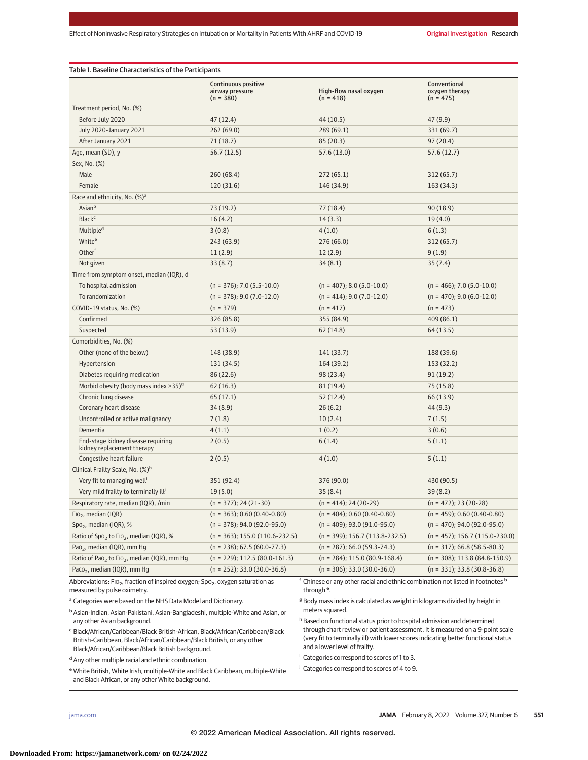| Table 1. Baseline Characteristics of the Participants               |                                                       |                                       |                                               |
|---------------------------------------------------------------------|-------------------------------------------------------|---------------------------------------|-----------------------------------------------|
|                                                                     | Continuous positive<br>airway pressure<br>$(n = 380)$ | High-flow nasal oxygen<br>$(n = 418)$ | Conventional<br>oxygen therapy<br>$(n = 475)$ |
| Treatment period, No. (%)                                           |                                                       |                                       |                                               |
| Before July 2020                                                    | 47 (12.4)                                             | 44(10.5)                              | 47 (9.9)                                      |
| <b>July 2020-January 2021</b>                                       | 262(69.0)                                             | 289(69.1)                             | 331 (69.7)                                    |
| After January 2021                                                  | 71 (18.7)                                             | 85(20.3)                              | 97(20.4)                                      |
| Age, mean (SD), y                                                   | 56.7 (12.5)                                           | 57.6(13.0)                            | 57.6 (12.7)                                   |
| Sex, No. (%)                                                        |                                                       |                                       |                                               |
| Male                                                                | 260 (68.4)                                            | 272(65.1)                             | 312 (65.7)                                    |
| Female                                                              | 120(31.6)                                             | 146 (34.9)                            | 163(34.3)                                     |
| Race and ethnicity, No. (%) <sup>a</sup>                            |                                                       |                                       |                                               |
| Asian <sup>b</sup>                                                  | 73 (19.2)                                             | 77(18.4)                              | 90(18.9)                                      |
| <b>Black<sup>c</sup></b>                                            | 16(4.2)                                               | 14(3.3)                               | 19(4.0)                                       |
| Multiple <sup>d</sup>                                               | 3(0.8)                                                | 4(1.0)                                | 6(1.3)                                        |
| White <sup>e</sup>                                                  | 243 (63.9)                                            | 276(66.0)                             | 312 (65.7)                                    |
| Otherf                                                              | 11(2.9)                                               | 12(2.9)                               | 9(1.9)                                        |
| Not given                                                           | 33(8.7)                                               | 34(8.1)                               | 35(7.4)                                       |
| Time from symptom onset, median (IQR), d                            |                                                       |                                       |                                               |
| To hospital admission                                               | $(n = 376)$ ; 7.0 (5.5-10.0)                          | $(n = 407); 8.0 (5.0-10.0)$           | $(n = 466)$ ; 7.0 (5.0-10.0)                  |
| To randomization                                                    | $(n = 378)$ ; 9.0 (7.0-12.0)                          | $(n = 414)$ ; 9.0 (7.0-12.0)          | $(n = 470)$ ; 9.0 (6.0-12.0)                  |
| COVID-19 status, No. (%)                                            | $(n = 379)$                                           | $(n = 417)$                           | $(n = 473)$                                   |
| Confirmed                                                           | 326 (85.8)                                            | 355 (84.9)                            | 409 (86.1)                                    |
| Suspected                                                           | 53 (13.9)                                             | 62 (14.8)                             | 64 (13.5)                                     |
| Comorbidities, No. (%)                                              |                                                       |                                       |                                               |
| Other (none of the below)                                           | 148 (38.9)                                            | 141 (33.7)                            | 188 (39.6)                                    |
| Hypertension                                                        | 131 (34.5)                                            | 164 (39.2)                            | 153 (32.2)                                    |
| Diabetes requiring medication                                       | 86 (22.6)                                             | 98 (23.4)                             | 91(19.2)                                      |
| Morbid obesity (body mass index $>$ 35) <sup>9</sup>                | 62(16.3)                                              | 81(19.4)                              | 75(15.8)                                      |
| Chronic lung disease                                                | 65(17.1)                                              | 52(12.4)                              | 66 (13.9)                                     |
| Coronary heart disease                                              | 34(8.9)                                               | 26(6.2)                               | 44 (9.3)                                      |
| Uncontrolled or active malignancy                                   | 7(1.8)                                                | 10(2.4)                               | 7(1.5)                                        |
| Dementia                                                            | 4(1.1)                                                | 1(0.2)                                | 3(0.6)                                        |
| End-stage kidney disease requiring<br>kidney replacement therapy    | 2(0.5)                                                | 6(1.4)                                | 5(1.1)                                        |
| Congestive heart failure                                            | 2(0.5)                                                | 4(1.0)                                | 5(1.1)                                        |
| Clinical Frailty Scale, No. (%) <sup>h</sup>                        |                                                       |                                       |                                               |
| Very fit to managing well <sup>i</sup>                              | 351 (92.4)                                            | 376 (90.0)                            | 430 (90.5)                                    |
| Very mild frailty to terminally illi                                | 19(5.0)                                               | 35(8.4)                               | 39(8.2)                                       |
| Respiratory rate, median (IQR), /min                                | $(n = 377)$ ; 24 (21-30)                              | $(n = 414)$ ; 24 (20-29)              | $(n = 472)$ ; 23 (20-28)                      |
| $FIO_2$ , median (IQR)                                              | $(n = 363)$ ; 0.60 (0.40-0.80)                        | $(n = 404)$ ; 0.60 (0.40-0.80)        | $(n = 459)$ ; 0.60 (0.40-0.80)                |
| Spo <sub>2</sub> , median (IQR), %                                  | $(n = 378)$ ; 94.0 (92.0-95.0)                        | $(n = 409)$ ; 93.0 (91.0-95.0)        | $(n = 470)$ ; 94.0 (92.0-95.0)                |
| Ratio of Spo <sub>2</sub> to FIO <sub>2</sub> , median (IQR), %     | $(n = 363)$ ; 155.0 (110.6-232.5)                     | $(n = 399)$ ; 156.7 (113.8-232.5)     | $(n = 457)$ ; 156.7 (115.0-230.0)             |
| Pao <sub>2</sub> , median (IQR), mm Hg                              | $(n = 238)$ ; 67.5 (60.0-77.3)                        | $(n = 287)$ ; 66.0 (59.3-74.3)        | $(n = 317)$ ; 66.8 (58.5-80.3)                |
| Ratio of Pao <sub>2</sub> to FIO <sub>2</sub> , median (IQR), mm Hg | $(n = 229)$ ; 112.5 (80.0-161.3)                      | $(n = 284)$ ; 115.0 (80.9-168.4)      | $(n = 308)$ ; 113.8 (84.8-150.9)              |
| Paco <sub>2</sub> , median (IQR), mm Hg                             | $(n = 252)$ ; 33.0 (30.0-36.8)                        | $(n = 306)$ ; 33.0 (30.0-36.0)        | $(n = 331)$ ; 33.8 (30.8-36.8)                |
|                                                                     |                                                       |                                       |                                               |

Abbreviations: FIO<sub>2</sub>, fraction of inspired oxygen; SpO<sub>2</sub>, oxygen saturation as measured by pulse oximetry.

<sup>a</sup> Categories were based on the NHS Data Model and Dictionary.

bAsian-Indian, Asian-Pakistani, Asian-Bangladeshi, multiple-White and Asian, or any other Asian background.

<sup>c</sup> Black/African/Caribbean/Black British-African, Black/African/Caribbean/Black British-Caribbean, Black/African/Caribbean/Black British, or any other Black/African/Caribbean/Black British background.

 $d$  Any other multiple racial and ethnic combination.

<sup>e</sup> White British, White Irish, multiple-White and Black Caribbean, multiple-White and Black African, or any other White background.

Chinese or any other racial and ethnic combination not listed in footnotes through<sup>e</sup>.

 ${}^{\rm g}$  Body mass index is calculated as weight in kilograms divided by height in meters squared.

h Based on functional status prior to hospital admission and determined through chart review or patient assessment. It is measured on a 9-point scale (very fit to terminally ill) with lower scores indicating better functional status and a lower level of frailty.

<sup>i</sup> Categories correspond to scores of 1 to 3.

<sup>j</sup> Categories correspond to scores of 4 to 9.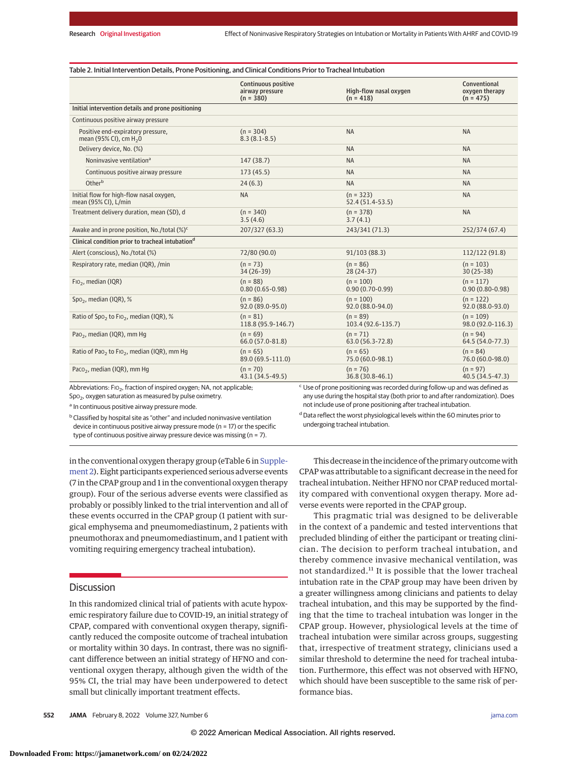|                                                                         | <b>Continuous positive</b><br>airway pressure<br>$(n = 380)$ | High-flow nasal oxygen<br>$(n = 418)$ | Conventional<br>oxygen therapy<br>$(n = 475)$ |
|-------------------------------------------------------------------------|--------------------------------------------------------------|---------------------------------------|-----------------------------------------------|
| Initial intervention details and prone positioning                      |                                                              |                                       |                                               |
| Continuous positive airway pressure                                     |                                                              |                                       |                                               |
| Positive end-expiratory pressure,<br>mean (95% CI), cm H <sub>2</sub> 0 | $(n = 304)$<br>$8.3(8.1 - 8.5)$                              | <b>NA</b>                             | <b>NA</b>                                     |
| Delivery device, No. (%)                                                |                                                              | <b>NA</b>                             | <b>NA</b>                                     |
| Noninvasive ventilation <sup>a</sup>                                    | 147(38.7)                                                    | <b>NA</b>                             | <b>NA</b>                                     |
| Continuous positive airway pressure                                     | 173(45.5)                                                    | <b>NA</b>                             | <b>NA</b>                                     |
| Otherb                                                                  | 24(6.3)                                                      | <b>NA</b>                             | <b>NA</b>                                     |
| Initial flow for high-flow nasal oxygen,<br>mean (95% CI), L/min        | <b>NA</b>                                                    | $(n = 323)$<br>52.4 (51.4-53.5)       | <b>NA</b>                                     |
| Treatment delivery duration, mean (SD), d                               | $(n = 340)$<br>3.5(4.6)                                      | $(n = 378)$<br>3.7(4.1)               | <b>NA</b>                                     |
| Awake and in prone position. No./total $(\%)^c$                         | 207/327 (63.3)                                               | 243/341 (71.3)                        | 252/374 (67.4)                                |
| Clinical condition prior to tracheal intubation <sup>d</sup>            |                                                              |                                       |                                               |
| Alert (conscious), No./total (%)                                        | 72/80 (90.0)                                                 | 91/103 (88.3)                         | 112/122 (91.8)                                |
| Respiratory rate, median (IQR), /min                                    | $(n = 73)$<br>34 (26-39)                                     | $(n = 86)$<br>$28(24-37)$             | $(n = 103)$<br>$30(25-38)$                    |
| $FIO2$ , median (IQR)                                                   | $(n = 88)$<br>$0.80(0.65 - 0.98)$                            | $(n = 100)$<br>$0.90(0.70-0.99)$      | $(n = 117)$<br>$0.90(0.80 - 0.98)$            |
| $Spo2$ , median (IQR), %                                                | $(n = 86)$<br>92.0 (89.0-95.0)                               | $(n = 100)$<br>92.0 (88.0-94.0)       | $(n = 122)$<br>92.0 (88.0-93.0)               |
| Ratio of Spo <sub>2</sub> to FIO <sub>2</sub> , median (IQR), %         | $(n = 81)$<br>118.8 (95.9-146.7)                             | $(n = 89)$<br>103.4 (92.6-135.7)      | $(n = 109)$<br>98.0 (92.0-116.3)              |
| Pao <sub>2</sub> , median (IQR), mm Hg                                  | $(n = 69)$<br>66.0 (57.0-81.8)                               | $(n = 71)$<br>63.0 (56.3-72.8)        | $(n = 94)$<br>64.5 (54.0-77.3)                |
| Ratio of Pao <sub>2</sub> to Fio <sub>2</sub> , median (IQR), mm Hg     | $(n = 65)$<br>89.0 (69.5-111.0)                              | $(n = 65)$<br>75.0 (60.0-98.1)        | $(n = 84)$<br>76.0 (60.0-98.0)                |
| Paco <sub>2</sub> , median (IQR), mm Hq                                 | $(n = 70)$<br>43.1 (34.5-49.5)                               | $(n = 76)$<br>36.8 (30.8-46.1)        | $(n = 97)$<br>40.5 (34.5-47.3)                |

Abbreviations: FIO<sub>2</sub>, fraction of inspired oxygen; NA, not applicable; SpO2, oxygen saturation as measured by pulse oximetry.

<sup>a</sup> In continuous positive airway pressure mode.

b Classified by hospital site as "other" and included noninvasive ventilation device in continuous positive airway pressure mode ( $n = 17$ ) or the specific type of continuous positive airway pressure device was missing (n = 7).

<sup>c</sup> Use of prone positioning was recorded during follow-up and was defined as any use during the hospital stay (both prior to and after randomization). Does not include use of prone positioning after tracheal intubation.

<sup>d</sup> Data reflect the worst physiological levels within the 60 minutes prior to undergoing tracheal intubation.

in the conventional oxygen therapy group (eTable 6 in [Supple](https://jamanetwork.com/journals/jama/fullarticle/10.1001/jama.2022.0028?utm_campaign=articlePDF%26utm_medium=articlePDFlink%26utm_source=articlePDF%26utm_content=jama.2022.0028)[ment 2\)](https://jamanetwork.com/journals/jama/fullarticle/10.1001/jama.2022.0028?utm_campaign=articlePDF%26utm_medium=articlePDFlink%26utm_source=articlePDF%26utm_content=jama.2022.0028). Eight participants experienced serious adverse events (7 in the CPAP group and 1 in the conventional oxygen therapy group). Four of the serious adverse events were classified as probably or possibly linked to the trial intervention and all of these events occurred in the CPAP group (1 patient with surgical emphysema and pneumomediastinum, 2 patients with pneumothorax and pneumomediastinum, and 1 patient with vomiting requiring emergency tracheal intubation).

# **Discussion**

In this randomized clinical trial of patients with acute hypoxemic respiratory failure due to COVID-19, an initial strategy of CPAP, compared with conventional oxygen therapy, significantly reduced the composite outcome of tracheal intubation or mortality within 30 days. In contrast, there was no significant difference between an initial strategy of HFNO and conventional oxygen therapy, although given the width of the 95% CI, the trial may have been underpowered to detect small but clinically important treatment effects.

This decrease in the incidence of the primary outcomewith CPAP was attributable to a significant decrease in the need for tracheal intubation. Neither HFNO nor CPAP reduced mortality compared with conventional oxygen therapy. More adverse events were reported in the CPAP group.

This pragmatic trial was designed to be deliverable in the context of a pandemic and tested interventions that precluded blinding of either the participant or treating clinician. The decision to perform tracheal intubation, and thereby commence invasive mechanical ventilation, was not standardized.<sup>11</sup> It is possible that the lower tracheal intubation rate in the CPAP group may have been driven by a greater willingness among clinicians and patients to delay tracheal intubation, and this may be supported by the finding that the time to tracheal intubation was longer in the CPAP group. However, physiological levels at the time of tracheal intubation were similar across groups, suggesting that, irrespective of treatment strategy, clinicians used a similar threshold to determine the need for tracheal intubation. Furthermore, this effect was not observed with HFNO, which should have been susceptible to the same risk of performance bias.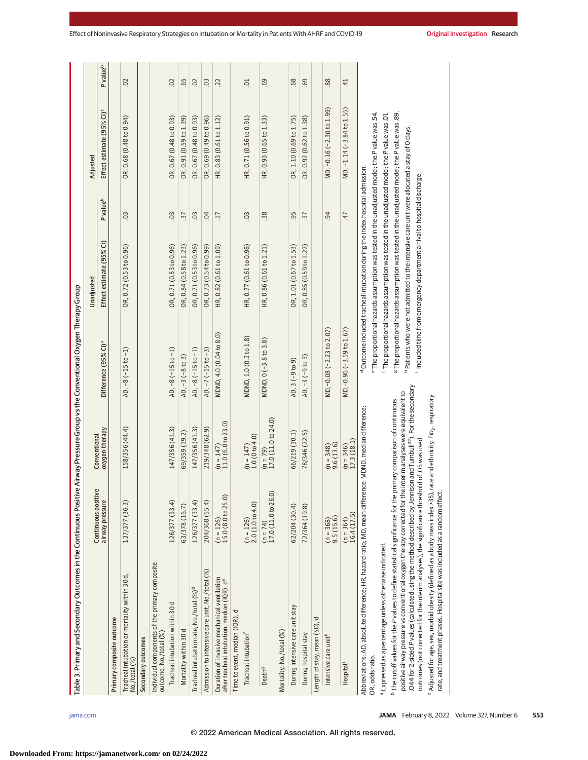| Table 3. Primary and Secondary Outcomes in the Continuous Positive Airway Pressure Group vs the Conventional Oxygen Therapy Group                                                                                                                                                                                                                                          |                                              |                                   |                                  |                                                                                                                                                                                                          |                      |                                       |                      |
|----------------------------------------------------------------------------------------------------------------------------------------------------------------------------------------------------------------------------------------------------------------------------------------------------------------------------------------------------------------------------|----------------------------------------------|-----------------------------------|----------------------------------|----------------------------------------------------------------------------------------------------------------------------------------------------------------------------------------------------------|----------------------|---------------------------------------|----------------------|
|                                                                                                                                                                                                                                                                                                                                                                            | Continuous positive                          | Conventional                      |                                  | Unadjusted                                                                                                                                                                                               |                      | Adjusted                              |                      |
|                                                                                                                                                                                                                                                                                                                                                                            | airway pressure                              | oxygen therapy                    | Difference (95% CI) <sup>a</sup> | Effect estimate (95% CI)                                                                                                                                                                                 | P value <sup>b</sup> | Effect estimate (95% CI) <sup>c</sup> | P value <sup>b</sup> |
| Primary composite outcome                                                                                                                                                                                                                                                                                                                                                  |                                              |                                   |                                  |                                                                                                                                                                                                          |                      |                                       |                      |
| Tracheal intubation or mortality within 30 d,<br>No./total (%)                                                                                                                                                                                                                                                                                                             | 137/377 (36.3)                               | 158/356 (44.4)                    | $AD, -8(-15 to -1)$              | OR, 0.72 (0.53 to 0.96)                                                                                                                                                                                  | 0 <sup>3</sup>       | OR, 0.68 (0.48 to 0.94)               | 02                   |
| Secondary outcomes                                                                                                                                                                                                                                                                                                                                                         |                                              |                                   |                                  |                                                                                                                                                                                                          |                      |                                       |                      |
| Individual components of the primary composite<br>outcome, No./total (%)                                                                                                                                                                                                                                                                                                   |                                              |                                   |                                  |                                                                                                                                                                                                          |                      |                                       |                      |
| Tracheal intubation within 30d                                                                                                                                                                                                                                                                                                                                             | 126/377 (33.4)                               | 147/356 (41.3)                    | $AD, -8 (-15 to -1)$             | OR, 0.71 (0.53 to 0.96)                                                                                                                                                                                  | 0 <sup>3</sup>       | OR, 0.67 (0.48 to 0.93)               | $\overline{0}$       |
| Mortality within 30d                                                                                                                                                                                                                                                                                                                                                       | 63/378 (16.7)                                | 69/359 (19.2)                     | AD, -3 (-8 to 3)                 | OR, 0.84 (0.58 to 1.23)                                                                                                                                                                                  | 57                   | OR, 0.91 (0.59 to 1.39)               | .65                  |
| Tracheal intubation rate, No./total (%) <sup>d</sup>                                                                                                                                                                                                                                                                                                                       | 126/377 (33.4)                               | 147/356 (41.3)                    | $AD, -8(-15 to -1)$              | OR, 0.71 (0.53 to 0.96)                                                                                                                                                                                  | $\overline{0}$       | OR, 0.67 (0.48 to 0.93)               | $\overline{0}$       |
| Admission to intensive care unit, No./total (%)                                                                                                                                                                                                                                                                                                                            | 204/368 (55.4)                               | 219/348 (62.9)                    | $AD, -7(-15 to -3)$              | OR, 0.73 (0.54 to 0.99)                                                                                                                                                                                  | 04                   | OR, 0.69 (0.49 to 0.96)               | 0 <sup>3</sup>       |
| Duration of invasive mechanical ventilation<br>after tracheal intubation, median (IQR), de                                                                                                                                                                                                                                                                                 | $(n = 126)$<br>15.0 $(8.0 \text{ to } 25.0)$ | $(n = 147)$<br>11.0 (6.0 to 23.0) | MDND, 4.0 (0.04 to 8.0)          | HR, 0.82 (0.61 to 1.09)                                                                                                                                                                                  | $\overline{17}$      | HR, 0.83 (0.61 to 1.12)               | <b>22</b>            |
| Time to event, median (IQR), d                                                                                                                                                                                                                                                                                                                                             |                                              |                                   |                                  |                                                                                                                                                                                                          |                      |                                       |                      |
| Tracheal intubation <sup>f</sup>                                                                                                                                                                                                                                                                                                                                           | $(n = 126)$<br>2.0 (1.0 to 4.0)              | 1.0(0 to 4.0)<br>$(n = 147)$      | MDND, 1.0 (0.2 to 1.8)           | HR, 0.77 (0.61 to 0.98)                                                                                                                                                                                  | 0 <sup>3</sup>       | HR, 0.71 (0.56 to 0.91)               | $\overline{0}$ .     |
| Death <sup>9</sup>                                                                                                                                                                                                                                                                                                                                                         | Ĝ.<br>$(n = 74)$<br>17.0 (11.0 to 26.        | $(n = 79)$<br>17.0 (11.0 to 24.0) | MDND, 0 (-3.8 to 3.8)            | HR, 0.86 (0.61 to 1.21)                                                                                                                                                                                  | $\ddot{38}$          | HR, 0.93 (0.65 to 1.33)               | <b>69</b>            |
| Mortality, No./total (%)                                                                                                                                                                                                                                                                                                                                                   |                                              |                                   |                                  |                                                                                                                                                                                                          |                      |                                       |                      |
| During intensive care unit stay                                                                                                                                                                                                                                                                                                                                            | 62/204 (30.4)                                | 66/219 (30.1)                     | AD, 3 (-9 to 9)                  | OR, 1.01 (0.67 to 1.53)                                                                                                                                                                                  | 95                   | OR, 1.10 (0.69 to 1.75)               | 68                   |
| During hospital stay                                                                                                                                                                                                                                                                                                                                                       | 72/364 (19.8)                                | 78/346 (22.5)                     | AD, -3 (-9 to 3)                 | OR, 0.85 (0.59 to 1.22)                                                                                                                                                                                  | $\ddot{37}$          | OR, 0.92 (0.62 to 1.38)               | <b>69</b>            |
| Length of stay, mean (SD), d                                                                                                                                                                                                                                                                                                                                               |                                              |                                   |                                  |                                                                                                                                                                                                          |                      |                                       |                      |
| Intensive care unit <sup>h</sup>                                                                                                                                                                                                                                                                                                                                           | $(n = 368)$<br>9.5 (15.6)                    | $(n = 348)$<br>9.6 (13.6)         | MD, -0.08 (-2.23 to 2.07)        |                                                                                                                                                                                                          | 94                   | MD, -0.16 (-2.30 to 1.99)             | 88                   |
| Hospital <sup>i</sup>                                                                                                                                                                                                                                                                                                                                                      | $(n = 364)$<br>16.4 (17.5)                   | $(n = 346)$<br>17.3 (18.1)        | MD, -0.96 (-3.59 to 1.67)        |                                                                                                                                                                                                          | 47                   | MD, -1.14 (-3.84 to 1.55)             | $\overline{41}$      |
| Abbreviations: AD, absolute difference; HR, hazard ratio; MD, mean differ<br>OR, odds ratio.                                                                                                                                                                                                                                                                               |                                              | rence; MDND, median difference;   |                                  | e The proportional hazards assumption was tested in the unadjusted model; the P value was .54.<br><sup>d</sup> Outcome included tracheal intubation during the index hospital admission.                 |                      |                                       |                      |
| <sup>a</sup> Expressed as a percentage unless otherwise indicated.                                                                                                                                                                                                                                                                                                         |                                              |                                   |                                  | <sup>f</sup> The proportional hazards assumption was tested in the unadjusted model; the P value was . 01.                                                                                               |                      |                                       |                      |
| .044 for 2-sided P values (calculated using the method described by Jennison and Turnbull <sup>22</sup> ). For the secondary<br>positive airway pressure vs conventional oxygen therapy corrected for the interim analyses were equivalent to<br>$^{\rm b}$ The cutoff values for the P values to define statistical significance for the primary comparison of continuous |                                              |                                   |                                  | <sup>8</sup> The proportional hazards assumption was tested in the unadjusted model; the P value was. 89.<br>h Patients who were not admitted to the intensive care unit were allocated a stay of 0 days |                      |                                       |                      |
| outcomes (not corrected for the interim analyses), the significance threshold of .O5 was used.                                                                                                                                                                                                                                                                             |                                              |                                   |                                  | Included time from emergency department arrival to hospital discharge.                                                                                                                                   |                      |                                       |                      |

**Downloaded From: https://jamanetwork.com/ on 02/24/2022**

° Adjusted for age, sex, morbid obesity (defined as a body mass index >35), race and ethnicity, Fio<sub>2</sub>, respiratory<br>rate, and treatment phases. Hospital site was included as a random effect.  $^\mathrm{c}$  Adjusted for age, sex, morbid obesity (defined as a body mass index >35), race and ethnicity, Fio<sub>2</sub>, respiratory

rate, and treatment phases. Hospital site was included as a random effect.

| Effect of Noninvasive Respiratory Strategies on Intubation or Mortality in Patients With AHRF and COVID-19 | <b>Original Investigation Research</b> |  |
|------------------------------------------------------------------------------------------------------------|----------------------------------------|--|
|                                                                                                            |                                        |  |

the control of the control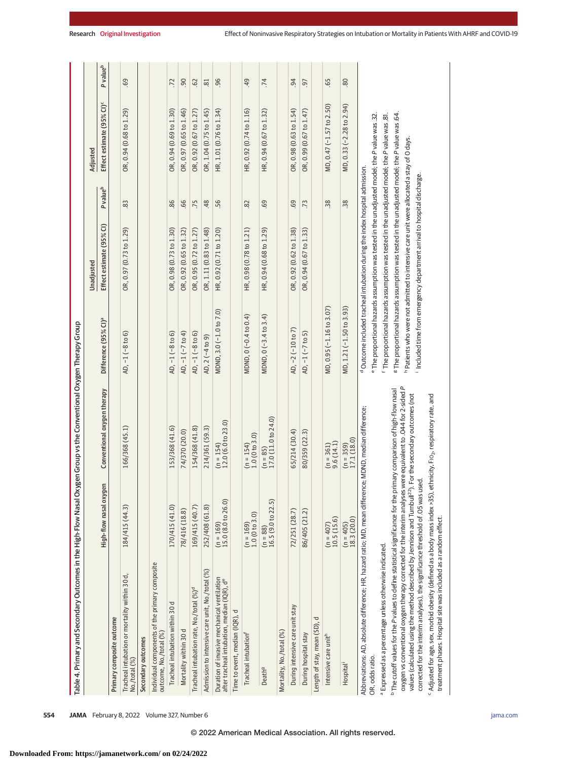| Table 4. Primary and Secondary Outcomes in the High-Flow Nasal Oxygen Group vs the Conventional Oxygen Therapy Group                                                                                                                                                                                                                                                                                                                                              |                                     |                                                     |                                  |                                                                                                                                                                                                                                                                                 |                      |                                       |                      |
|-------------------------------------------------------------------------------------------------------------------------------------------------------------------------------------------------------------------------------------------------------------------------------------------------------------------------------------------------------------------------------------------------------------------------------------------------------------------|-------------------------------------|-----------------------------------------------------|----------------------------------|---------------------------------------------------------------------------------------------------------------------------------------------------------------------------------------------------------------------------------------------------------------------------------|----------------------|---------------------------------------|----------------------|
|                                                                                                                                                                                                                                                                                                                                                                                                                                                                   |                                     |                                                     |                                  | Unadjusted                                                                                                                                                                                                                                                                      |                      | Adjusted                              |                      |
|                                                                                                                                                                                                                                                                                                                                                                                                                                                                   | High-flow nasal oxygen              | Conventional oxygen therapy                         | Difference (95% CI) <sup>a</sup> | Effect estimate (95% CI)                                                                                                                                                                                                                                                        | P value <sup>b</sup> | Effect estimate (95% CI) <sup>c</sup> | P value <sup>b</sup> |
| Primary composite outcome                                                                                                                                                                                                                                                                                                                                                                                                                                         |                                     |                                                     |                                  |                                                                                                                                                                                                                                                                                 |                      |                                       |                      |
| Tracheal intubation or mortality within 30 d,<br>No./total (%)                                                                                                                                                                                                                                                                                                                                                                                                    | 184/415 (44.3)                      | 166/368 (45.1)                                      | AD, -1 (-8 to 6)                 | OR, 0.97 (0.73 to 1.29)                                                                                                                                                                                                                                                         | 83                   | OR, 0.94 (0.68 to 1.29)               | 69                   |
| Secondary outcomes                                                                                                                                                                                                                                                                                                                                                                                                                                                |                                     |                                                     |                                  |                                                                                                                                                                                                                                                                                 |                      |                                       |                      |
| Individual components of the primary composite<br>outcome, No./total (%)                                                                                                                                                                                                                                                                                                                                                                                          |                                     |                                                     |                                  |                                                                                                                                                                                                                                                                                 |                      |                                       |                      |
| Tracheal intubation within 30d                                                                                                                                                                                                                                                                                                                                                                                                                                    | 170/415 (41.0)                      | 153/368 (41.6)                                      | AD, -1 (-8 to 6)                 | OR, 0.98 (0.73 to 1.30)                                                                                                                                                                                                                                                         | 86                   | OR, 0.94 (0.69 to 1.30)               | .72                  |
| Mortality within 30d                                                                                                                                                                                                                                                                                                                                                                                                                                              | 78/416 (18.8)                       | 74/370 (20.0)                                       | AD, -1 (-7 to 4)                 | OR, 0.92 (0.65 to 1.32)                                                                                                                                                                                                                                                         | 66                   | OR, 0.97 (0.65 to 1.46)               | 90                   |
| Tracheal intubation rate, No./total (%) <sup>d</sup>                                                                                                                                                                                                                                                                                                                                                                                                              | 169/415 (40.7)                      | 154/368 (41.8)                                      | AD, -1 (-8 to 6)                 | OR, 0.95 (0.72 to 1.27)                                                                                                                                                                                                                                                         | .75                  | OR, 0.92 (0.67 to 1.27)               | <b>G2</b>            |
| Admission to intensive care unit, No./total (%)                                                                                                                                                                                                                                                                                                                                                                                                                   | 252/408 (61.8)                      | 214/361 (59.3)                                      | AD, 2 (-4 to 9)                  | OR, 1.11 (0.83 to 1.48)                                                                                                                                                                                                                                                         | .48                  | OR, 1.04 (0.75 to 1.45)               | $\overline{81}$      |
| Duration of invasive mechanical ventilation<br>after tracheal intubation, median (IQR), de                                                                                                                                                                                                                                                                                                                                                                        | $(n = 169)$<br>15.0 $(8.0$ to 26.0) | $(n = 154)$<br>12.0 (6.0 to 23.0)                   | MDND, 3.0 (-1.0 to 7.0)          | HR, 0.92 (0.71 to 1.20)                                                                                                                                                                                                                                                         | 56                   | HR, 1.01 (0.76 to 1.34)               | $-96$                |
| Time to event, median (IQR), d                                                                                                                                                                                                                                                                                                                                                                                                                                    |                                     |                                                     |                                  |                                                                                                                                                                                                                                                                                 |                      |                                       |                      |
| Tracheal intubation <sup>f</sup>                                                                                                                                                                                                                                                                                                                                                                                                                                  | $(n = 169)$<br>$1.0(0 to 3.0)$      | $(n = 154)$<br>1.0 (0 to 3.0)                       | MDND, 0 (-0.4 to 0.4)            | HR, 0.98 (0.78 to 1.21)                                                                                                                                                                                                                                                         | 82                   | HR, 0.92 (0.74 to 1.16)               | 49                   |
| Death <sup>9</sup>                                                                                                                                                                                                                                                                                                                                                                                                                                                | $(n = 88)$<br>16.5 (9.0 to 22.5)    | $(n = 85)$<br>17.0 (11.0 to 24.0)                   | MDND, 0 (-3.4 to 3.4)            | HR, 0.94 (0.68 to 1.29)                                                                                                                                                                                                                                                         | 69                   | HR, 0.94 (0.67 to 1.32)               | .74                  |
| Mortality, No./total (%)                                                                                                                                                                                                                                                                                                                                                                                                                                          |                                     |                                                     |                                  |                                                                                                                                                                                                                                                                                 |                      |                                       |                      |
| During intensive care unit stay                                                                                                                                                                                                                                                                                                                                                                                                                                   | 72/251 (28.7)                       | 65/214 (30.4)                                       | AD, -2 (-10 to 7)                | OR, 0.92 (0.62 to 1.38)                                                                                                                                                                                                                                                         | 69                   | OR, 0.98 (0.63 to 1.54)               | $\overline{94}$      |
| During hospital stay                                                                                                                                                                                                                                                                                                                                                                                                                                              | 86/405 (21.2)                       | 80/359 (22.3)                                       | AD, -1 (-7 to 5)                 | OR, 0.94 (0.67 to 1.33)                                                                                                                                                                                                                                                         | .73                  | OR, 0.99 (0.67 to 1.47)               | $\overline{9}$       |
| Length of stay, mean (SD), d                                                                                                                                                                                                                                                                                                                                                                                                                                      |                                     |                                                     |                                  |                                                                                                                                                                                                                                                                                 |                      |                                       |                      |
| Intensive care unit <sup>h</sup>                                                                                                                                                                                                                                                                                                                                                                                                                                  | $(n = 407)$<br>10.5 (15.6)          | $(n = 361)$<br>9.6(14.1)                            | MD, 0.95 (-1.16 to 3.07)         |                                                                                                                                                                                                                                                                                 | 38.                  | MD, 0.47 (-1.57 to 2.50)              | .65                  |
| Hospital <sup>i</sup>                                                                                                                                                                                                                                                                                                                                                                                                                                             | $(n = 405)$<br>18.3 (20.0)          | $(n = 359)$<br>17.1 (18.0)                          | MD, 1.21 (-1.50 to 3.93)         |                                                                                                                                                                                                                                                                                 | 38                   | MD, 0.33 (-2.28 to 2.94)              | 80                   |
| Abbreviations: AD, absolute difference; HR, hazard ratio; MD, mean difference; MDND, median difference;<br>OR, odds ratio.                                                                                                                                                                                                                                                                                                                                        |                                     |                                                     |                                  | <sup>e</sup> The proportional hazards assumption was tested in the unadjusted model; the P value was .32<br><sup>d</sup> Outcome included tracheal intubation during the index hospital admission.                                                                              |                      |                                       |                      |
| <sup>a</sup> Expressed as a percentage unless otherwise indicated.                                                                                                                                                                                                                                                                                                                                                                                                |                                     |                                                     |                                  | f The proportional hazards assumption was tested in the unadjusted model; the P value was .81.                                                                                                                                                                                  |                      |                                       |                      |
| oxygen vs conventional oxygen therapy corrected for the interim analyses were equivalent to .044 for 2-sided P<br><sup>b</sup> The cutoff values for the P values to define statistical significance for the primary comparison of high-flow nasal<br>values (calculated using the method described by Jennison and Turnbull <sup>22</sup> ). For the secondary outcomes (not<br>corrected for the interim analyses), the significance threshold of .05 was used. |                                     |                                                     |                                  | <sup>8</sup> The proportional hazards assumption was tested in the unadjusted model; the P value was .64.<br>h Patients who were not admitted to intensive care unit were allocated a stay of O days.<br>Included time from emergency department arrival to hospital discharge. |                      |                                       |                      |
| "Adjusted for age, sex, morbid obesity (defined as a body mass index >35),<br>treatment phases. Hospital site was included as a random effect.                                                                                                                                                                                                                                                                                                                    |                                     | ethnicity, FIO <sub>2</sub> , respiratory rate, and |                                  |                                                                                                                                                                                                                                                                                 |                      |                                       |                      |

**554 JAMA** February 8, 2022 Volume 327, Number 6 **(Reprinted)** in the state of the state of the state of the state of the state of the state of the state of the state of the state of the state of the state of the state of

# **Downloaded From: https://jamanetwork.com/ on 02/24/2022**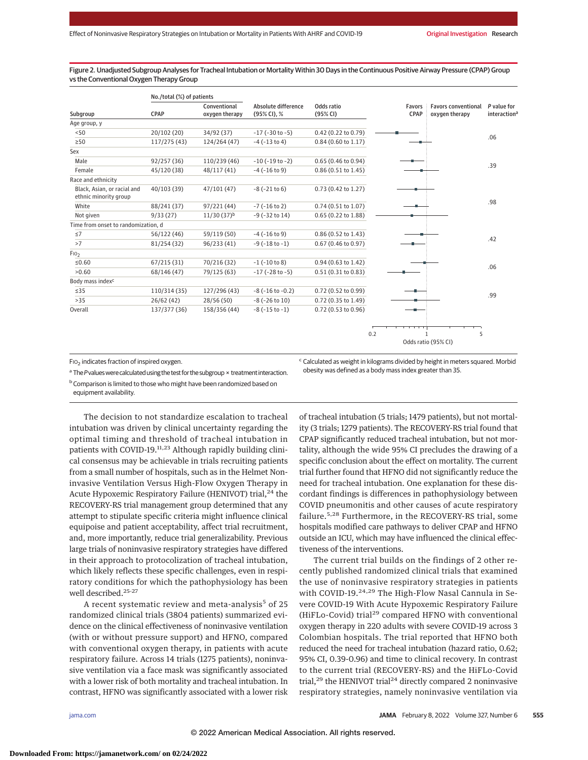Figure 2. Unadjusted Subgroup Analyses for Tracheal Intubation or Mortality Within 30 Days in the Continuous Positive Airway Pressure (CPAP) Group vs the Conventional Oxygen Therapy Group

|                                                      | No./total (%) of patients |                                |                                    |                        |                              |                                              |                                         |
|------------------------------------------------------|---------------------------|--------------------------------|------------------------------------|------------------------|------------------------------|----------------------------------------------|-----------------------------------------|
| Subgroup                                             | CPAP                      | Conventional<br>oxygen therapy | Absolute difference<br>(95% CI), % | Odds ratio<br>(95% CI) | <b>Favors</b><br><b>CPAP</b> | <b>Favors conventional</b><br>oxygen therapy | P value for<br>interaction <sup>a</sup> |
| Age group, y                                         |                           |                                |                                    |                        |                              |                                              |                                         |
| < 50                                                 | 20/102 (20)               | 34/92 (37)                     | $-17$ ( $-30$ to $-5$ )            | 0.42 (0.22 to 0.79)    |                              |                                              |                                         |
| $\geq 50$                                            | 117/275 (43)              | 124/264 (47)                   | $-4$ ( $-13$ to 4)                 | 0.84 (0.60 to 1.17)    |                              |                                              | .06                                     |
| Sex                                                  |                           |                                |                                    |                        |                              |                                              |                                         |
| Male                                                 | 92/257 (36)               | 110/239 (46)                   | $-10$ ( $-19$ to $-2$ )            | 0.65 (0.46 to 0.94)    |                              |                                              | .39                                     |
| Female                                               | 45/120 (38)               | 48/117 (41)                    | $-4$ ( $-16$ to 9)                 | 0.86 (0.51 to 1.45)    |                              |                                              |                                         |
| Race and ethnicity                                   |                           |                                |                                    |                        |                              |                                              |                                         |
| Black, Asian, or racial and<br>ethnic minority group | 40/103 (39)               | 47/101(47)                     | $-8$ ( $-21$ to 6)                 | 0.73 (0.42 to 1.27)    |                              |                                              |                                         |
| White                                                | 88/241 (37)               | 97/221 (44)                    | $-7$ ( $-16$ to 2)                 | 0.74 (0.51 to 1.07)    |                              |                                              | .98                                     |
| Not given                                            | 9/33(27)                  | $11/30(37)$ <sup>b</sup>       | $-9$ ( $-32$ to 14)                | 0.65 (0.22 to 1.88)    |                              |                                              |                                         |
| Time from onset to randomization, d                  |                           |                                |                                    |                        |                              |                                              |                                         |
| $\leq 7$                                             | 56/122 (46)               | 59/119 (50)                    | $-4$ ( $-16$ to 9)                 | 0.86 (0.52 to 1.43)    |                              |                                              | .42                                     |
| >7                                                   | 81/254 (32)               | 96/233 (41)                    | $-9$ ( $-18$ to $-1$ )             | 0.67 (0.46 to 0.97)    |                              |                                              |                                         |
| F10 <sub>2</sub>                                     |                           |                                |                                    |                        |                              |                                              |                                         |
| ≤0.60                                                | 67/215 (31)               | 70/216 (32)                    | $-1$ ( $-10$ to 8)                 | 0.94 (0.63 to 1.42)    |                              |                                              | .06                                     |
| >0.60                                                | 68/146 (47)               | 79/125 (63)                    | $-17$ ( $-28$ to $-5$ )            | 0.51 (0.31 to 0.83)    |                              |                                              |                                         |
| Body mass index <sup>c</sup>                         |                           |                                |                                    |                        |                              |                                              |                                         |
| $\leq$ 35                                            | 110/314 (35)              | 127/296 (43)                   | $-8$ ( $-16$ to $-0.2$ )           | 0.72 (0.52 to 0.99)    |                              |                                              | .99                                     |
| >35                                                  | 26/62(42)                 | 28/56(50)                      | $-8$ ( $-26$ to 10)                | 0.72 (0.35 to 1.49)    |                              |                                              |                                         |
| Overall                                              | 137/377 (36)              | 158/356 (44)                   | $-8$ ( $-15$ to $-1$ )             | 0.72 (0.53 to 0.96)    |                              |                                              |                                         |
|                                                      |                           |                                |                                    |                        | 0.2                          | 5                                            |                                         |

FIO2 indicates fraction of inspired oxygen.

<sup>c</sup> Calculated as weight in kilograms divided by height in meters squared. Morbid obesity was defined as a body mass index greater than 35.

Odds ratio (95% CI)

<sup>a</sup> The P values were calculated using the test for the subgroup × treatment interaction. b Comparison is limited to those who might have been randomized based on equipment availability.

The decision to not standardize escalation to tracheal intubation was driven by clinical uncertainty regarding the optimal timing and threshold of tracheal intubation in patients with COVID-19.<sup>11,23</sup> Although rapidly building clinical consensus may be achievable in trials recruiting patients from a small number of hospitals, such as in the Helmet Noninvasive Ventilation Versus High-Flow Oxygen Therapy in Acute Hypoxemic Respiratory Failure (HENIVOT) trial,<sup>24</sup> the RECOVERY-RS trial management group determined that any attempt to stipulate specific criteria might influence clinical equipoise and patient acceptability, affect trial recruitment, and, more importantly, reduce trial generalizability. Previous large trials of noninvasive respiratory strategies have differed in their approach to protocolization of tracheal intubation, which likely reflects these specific challenges, even in respiratory conditions for which the pathophysiology has been well described.25-27

A recent systematic review and meta-analysis<sup>5</sup> of 25 randomized clinical trials (3804 patients) summarized evidence on the clinical effectiveness of noninvasive ventilation (with or without pressure support) and HFNO, compared with conventional oxygen therapy, in patients with acute respiratory failure. Across 14 trials (1275 patients), noninvasive ventilation via a face mask was significantly associated with a lower risk of both mortality and tracheal intubation. In contrast, HFNO was significantly associated with a lower risk of tracheal intubation (5 trials; 1479 patients), but not mortality (3 trials; 1279 patients). The RECOVERY-RS trial found that CPAP significantly reduced tracheal intubation, but not mortality, although the wide 95% CI precludes the drawing of a specific conclusion about the effect on mortality. The current trial further found that HFNO did not significantly reduce the need for tracheal intubation. One explanation for these discordant findings is differences in pathophysiology between COVID pneumonitis and other causes of acute respiratory failure.<sup>5,28</sup> Furthermore, in the RECOVERY-RS trial, some hospitals modified care pathways to deliver CPAP and HFNO outside an ICU, which may have influenced the clinical effectiveness of the interventions.

The current trial builds on the findings of 2 other recently published randomized clinical trials that examined the use of noninvasive respiratory strategies in patients with COVID-19.<sup>24,29</sup> The High-Flow Nasal Cannula in Severe COVID-19 With Acute Hypoxemic Respiratory Failure (HiFLo-Covid) trial<sup>29</sup> compared HFNO with conventional oxygen therapy in 220 adults with severe COVID-19 across 3 Colombian hospitals. The trial reported that HFNO both reduced the need for tracheal intubation (hazard ratio, 0.62; 95% CI, 0.39-0.96) and time to clinical recovery. In contrast to the current trial (RECOVERY-RS) and the HiFLo-Covid trial,<sup>29</sup> the HENIVOT trial<sup>24</sup> directly compared 2 noninvasive respiratory strategies, namely noninvasive ventilation via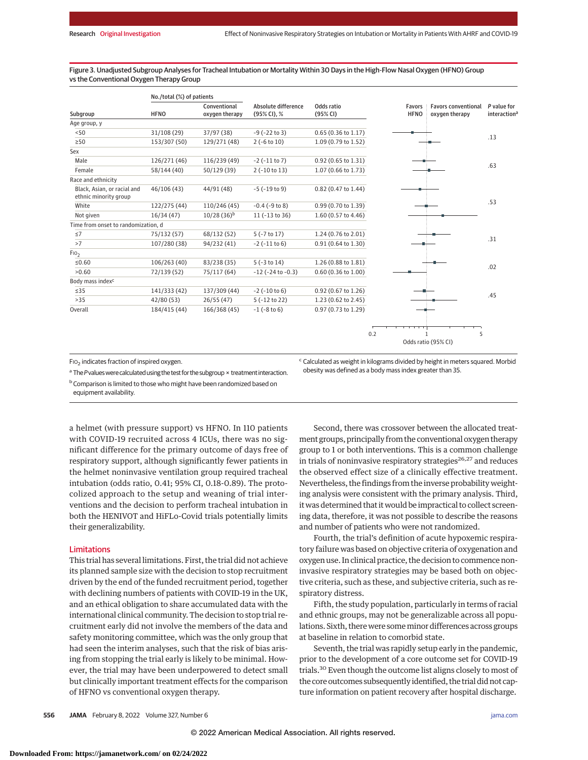Figure 3. Unadjusted Subgroup Analyses for Tracheal Intubation or Mortality Within 30 Days in the High-Flow Nasal Oxygen (HFNO) Group vs the Conventional Oxygen Therapy Group

|                                                      | No./total (%) of patients |                                |                                    |                        |                       |                                              |                                         |
|------------------------------------------------------|---------------------------|--------------------------------|------------------------------------|------------------------|-----------------------|----------------------------------------------|-----------------------------------------|
| Subgroup                                             | <b>HFNO</b>               | Conventional<br>oxygen therapy | Absolute difference<br>(95% CI), % | Odds ratio<br>(95% CI) | Favors<br><b>HFNO</b> | <b>Favors conventional</b><br>oxygen therapy | P value for<br>interaction <sup>a</sup> |
| Age group, y                                         |                           |                                |                                    |                        |                       |                                              |                                         |
| < 50                                                 | 31/108 (29)               | 37/97 (38)                     | $-9$ ( $-22$ to 3)                 | $0.65$ (0.36 to 1.17)  |                       |                                              | .13                                     |
| $\geq 50$                                            | 153/307 (50)              | 129/271 (48)                   | $2(-6 to 10)$                      | 1.09 (0.79 to 1.52)    |                       |                                              |                                         |
| Sex                                                  |                           |                                |                                    |                        |                       |                                              |                                         |
| Male                                                 | 126/271 (46)              | 116/239 (49)                   | $-2$ ( $-11$ to $7$ )              | 0.92 (0.65 to 1.31)    |                       |                                              | .63                                     |
| Female                                               | 58/144 (40)               | 50/129 (39)                    | $2$ (-10 to 13)                    | 1.07 (0.66 to 1.73)    |                       |                                              |                                         |
| Race and ethnicity                                   |                           |                                |                                    |                        |                       |                                              |                                         |
| Black, Asian, or racial and<br>ethnic minority group | 46/106 (43)               | 44/91 (48)                     | $-5$ ( $-19$ to 9)                 | 0.82 (0.47 to 1.44)    |                       |                                              |                                         |
| White                                                | 122/275 (44)              | 110/246 (45)                   | $-0.4$ ( $-9$ to 8)                | 0.99 (0.70 to 1.39)    |                       |                                              | .53                                     |
| Not given                                            | 16/34(47)                 | $10/28(36)^{b}$                | 11 (-13 to 36)                     | 1.60 (0.57 to 4.46)    |                       |                                              |                                         |
| Time from onset to randomization, d                  |                           |                                |                                    |                        |                       |                                              |                                         |
| $\leq 7$                                             | 75/132 (57)               | 68/132 (52)                    | $5$ ( $-7$ to 17)                  | 1.24 (0.76 to 2.01)    |                       |                                              | .31                                     |
| >7                                                   | 107/280 (38)              | 94/232 (41)                    | $-2$ ( $-11$ to 6)                 | 0.91 (0.64 to 1.30)    |                       |                                              |                                         |
| F10 <sub>2</sub>                                     |                           |                                |                                    |                        |                       |                                              |                                         |
| ≤0.60                                                | 106/263 (40)              | 83/238 (35)                    | $5(-3 to 14)$                      | 1.26 (0.88 to 1.81)    |                       |                                              |                                         |
| >0.60                                                | 72/139 (52)               | 75/117 (64)                    | $-12$ ( $-24$ to $-0.3$ )          | 0.60 (0.36 to 1.00)    |                       |                                              | .02                                     |
| Body mass index <sup>c</sup>                         |                           |                                |                                    |                        |                       |                                              |                                         |
| $\leq$ 35                                            | 141/333 (42)              | 137/309 (44)                   | $-2$ ( $-10$ to 6)                 | 0.92 (0.67 to 1.26)    |                       |                                              |                                         |
| >35                                                  | 42/80 (53)                | 26/55(47)                      | 5 (-12 to 22)                      | 1.23 (0.62 to 2.45)    |                       |                                              | .45                                     |
| Overall                                              | 184/415 (44)              | 166/368 (45)                   | $-1$ ( $-8$ to 6)                  | 0.97 (0.73 to 1.29)    |                       |                                              |                                         |
|                                                      |                           |                                |                                    | 0.2                    |                       | 5                                            |                                         |

FIO<sub>2</sub> indicates fraction of inspired oxygen.

<sup>c</sup> Calculated as weight in kilograms divided by height in meters squared. Morbid obesity was defined as a body mass index greater than 35.

Odds ratio (95% CI)

<sup>a</sup> The P values were calculated using the test for the subgroup × treatment interaction. b Comparison is limited to those who might have been randomized based on equipment availability.

a helmet (with pressure support) vs HFNO. In 110 patients with COVID-19 recruited across 4 ICUs, there was no significant difference for the primary outcome of days free of respiratory support, although significantly fewer patients in the helmet noninvasive ventilation group required tracheal intubation (odds ratio, 0.41; 95% CI, 0.18-0.89). The protocolized approach to the setup and weaning of trial interventions and the decision to perform tracheal intubation in both the HENIVOT and HiFLo-Covid trials potentially limits their generalizability.

# Limitations

This trial has several limitations. First, the trial did not achieve its planned sample size with the decision to stop recruitment driven by the end of the funded recruitment period, together with declining numbers of patients with COVID-19 in the UK, and an ethical obligation to share accumulated data with the international clinical community. The decision to stop trial recruitment early did not involve the members of the data and safety monitoring committee, which was the only group that had seen the interim analyses, such that the risk of bias arising from stopping the trial early is likely to be minimal. However, the trial may have been underpowered to detect small but clinically important treatment effects for the comparison of HFNO vs conventional oxygen therapy.

Second, there was crossover between the allocated treatment groups, principally from the conventional oxygen therapy group to 1 or both interventions. This is a common challenge in trials of noninvasive respiratory strategies<sup>26,27</sup> and reduces the observed effect size of a clinically effective treatment. Nevertheless, the findings from the inverse probability weighting analysis were consistent with the primary analysis. Third, it was determined that it would be impractical to collect screening data, therefore, it was not possible to describe the reasons and number of patients who were not randomized.

Fourth, the trial's definition of acute hypoxemic respiratory failure was based on objective criteria of oxygenation and oxygen use. In clinical practice, the decision to commence noninvasive respiratory strategies may be based both on objective criteria, such as these, and subjective criteria, such as respiratory distress.

Fifth, the study population, particularly in terms of racial and ethnic groups, may not be generalizable across all populations. Sixth, there were someminor differences across groups at baseline in relation to comorbid state.

Seventh, the trial was rapidly setup early in the pandemic, prior to the development of a core outcome set for COVID-19 trials.30 Even though the outcome list aligns closely to most of the core outcomes subsequently identified, the trial did not capture information on patient recovery after hospital discharge.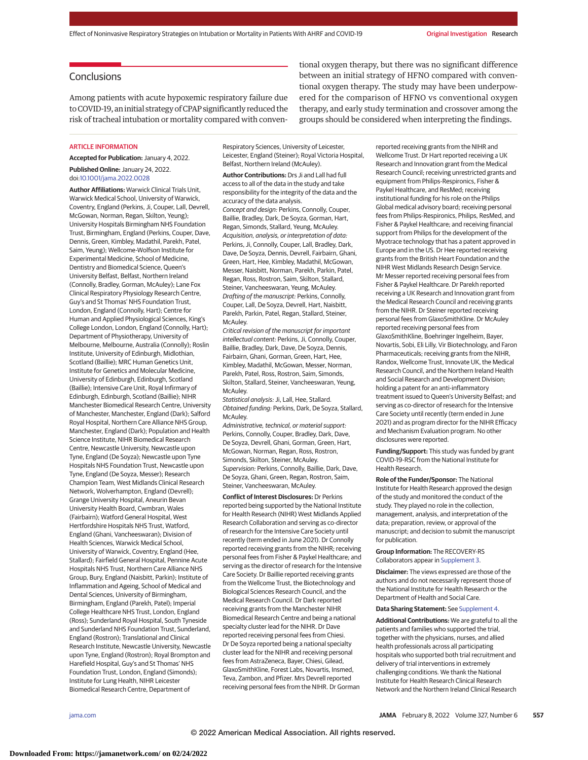# **Conclusions**

Among patients with acute hypoxemic respiratory failure due toCOVID-19, an initial strategy ofCPAP significantly reduced the risk of tracheal intubation or mortality compared with conven-

ARTICLE INFORMATION

**Accepted for Publication:** January 4, 2022. **Published Online:** January 24, 2022.

doi[:10.1001/jama.2022.0028](https://jamanetwork.com/journals/jama/fullarticle/10.1001/jama.2022.0028?utm_campaign=articlePDF%26utm_medium=articlePDFlink%26utm_source=articlePDF%26utm_content=jama.2022.0028)

**Author Affiliations:** Warwick Clinical Trials Unit, Warwick Medical School, University of Warwick, Coventry, England (Perkins, Ji, Couper, Lall, Devrell, McGowan, Norman, Regan, Skilton, Yeung); University Hospitals Birmingham NHS Foundation Trust, Birmingham, England (Perkins, Couper, Dave, Dennis, Green, Kimbley, Madathil, Parekh, Patel, Saim, Yeung); Wellcome-Wolfson Institute for Experimental Medicine, School of Medicine, Dentistry and Biomedical Science, Queen's University Belfast, Belfast, Northern Ireland (Connolly, Bradley, Gorman, McAuley); Lane Fox Clinical Respiratory Physiology Research Centre, Guy's and St Thomas' NHS Foundation Trust, London, England (Connolly, Hart); Centre for Human and Applied Physiological Sciences, King's College London, London, England (Connolly, Hart); Department of Physiotherapy, University of Melbourne, Melbourne, Australia (Connolly); Roslin Institute, University of Edinburgh, Midlothian, Scotland (Baillie); MRC Human Genetics Unit, Institute for Genetics and Molecular Medicine, University of Edinburgh, Edinburgh, Scotland (Baillie); Intensive Care Unit, Royal Infirmary of Edinburgh, Edinburgh, Scotland (Baillie); NIHR Manchester Biomedical Research Centre, University of Manchester, Manchester, England (Dark); Salford Royal Hospital, Northern Care Alliance NHS Group, Manchester, England (Dark); Population and Health Science Institute, NIHR Biomedical Research Centre, Newcastle University, Newcastle upon Tyne, England (De Soyza); Newcastle upon Tyne Hospitals NHS Foundation Trust, Newcastle upon Tyne, England (De Soyza, Messer); Research Champion Team, West Midlands Clinical Research Network, Wolverhampton, England (Devrell); Grange University Hospital, Aneurin Bevan University Health Board, Cwmbran, Wales (Fairbairn); Watford General Hospital, West Hertfordshire Hospitals NHS Trust, Watford, England (Ghani, Vancheeswaran); Division of Health Sciences, Warwick Medical School, University of Warwick, Coventry, England (Hee, Stallard); Fairfield General Hospital, Pennine Acute Hospitals NHS Trust, Northern Care Alliance NHS Group, Bury, England (Naisbitt, Parkin); Institute of Inflammation and Ageing, School of Medical and Dental Sciences, University of Birmingham, Birmingham, England (Parekh, Patel); Imperial College Healthcare NHS Trust, London, England (Ross); Sunderland Royal Hospital, South Tyneside and Sunderland NHS Foundation Trust, Sunderland, England (Rostron); Translational and Clinical Research Institute, Newcastle University, Newcastle upon Tyne, England (Rostron); Royal Brompton and Harefield Hospital, Guy's and St Thomas' NHS Foundation Trust, London, England (Simonds); Institute for Lung Health, NIHR Leicester Biomedical Research Centre, Department of

Respiratory Sciences, University of Leicester, Leicester, England (Steiner); Royal Victoria Hospital, Belfast, Northern Ireland (McAuley).

**Author Contributions:** Drs Ji and Lall had full access to all of the data in the study and take responsibility for the integrity of the data and the accuracy of the data analysis.

Concept and design: Perkins, Connolly, Couper, Baillie, Bradley, Dark, De Soyza, Gorman, Hart, Regan, Simonds, Stallard, Yeung, McAuley. Acquisition, analysis, or interpretation of data: Perkins, Ji, Connolly, Couper, Lall, Bradley, Dark, Dave, De Soyza, Dennis, Devrell, Fairbairn, Ghani, Green, Hart, Hee, Kimbley, Madathil, McGowan, Messer, Naisbitt, Norman, Parekh, Parkin, Patel, Regan, Ross, Rostron, Saim, Skilton, Stallard, Steiner, Vancheeswaran, Yeung, McAuley. Drafting of the manuscript: Perkins, Connolly, Couper, Lall, De Soyza, Devrell, Hart, Naisbitt, Parekh, Parkin, Patel, Regan, Stallard, Steiner, McAuley.

Critical revision of the manuscript for important intellectual content: Perkins, Ji, Connolly, Couper, Baillie, Bradley, Dark, Dave, De Soyza, Dennis, Fairbairn, Ghani, Gorman, Green, Hart, Hee, Kimbley, Madathil, McGowan, Messer, Norman, Parekh, Patel, Ross, Rostron, Saim, Simonds, Skilton, Stallard, Steiner, Vancheeswaran, Yeung, McAuley.

Statistical analysis: Ji, Lall, Hee, Stallard. Obtained funding: Perkins, Dark, De Soyza, Stallard, McAuley.

Administrative, technical, or material support: Perkins, Connolly, Couper, Bradley, Dark, Dave, De Soyza, Devrell, Ghani, Gorman, Green, Hart, McGowan, Norman, Regan, Ross, Rostron, Simonds, Skilton, Steiner, McAuley. Supervision: Perkins, Connolly, Baillie, Dark, Dave, De Soyza, Ghani, Green, Regan, Rostron, Saim, Steiner, Vancheeswaran, McAuley.

**Conflict of Interest Disclosures:** Dr Perkins reported being supported by the National Institute for Health Research (NIHR) West Midlands Applied Research Collaboration and serving as co-director of research for the Intensive Care Society until recently (term ended in June 2021). Dr Connolly reported receiving grants from the NIHR; receiving personal fees from Fisher & Paykel Healthcare; and serving as the director of research for the Intensive Care Society. Dr Baillie reported receiving grants from the Wellcome Trust, the Biotechnology and Biological Sciences Research Council, and the Medical Research Council. Dr Dark reported receiving grants from the Manchester NIHR Biomedical Research Centre and being a national specialty cluster lead for the NIHR. Dr Dave reported receiving personal fees from Chiesi. Dr De Soyza reported being a national specialty cluster lead for the NIHR and receiving personal fees from AstraZeneca, Bayer, Chiesi, Gilead, GlaxoSmithKline, Forest Labs, Novartis, Insmed, Teva, Zambon, and Pfizer. Mrs Devrell reported receiving personal fees from the NIHR. Dr Gorman

tional oxygen therapy, but there was no significant difference between an initial strategy of HFNO compared with conventional oxygen therapy. The study may have been underpowered for the comparison of HFNO vs conventional oxygen therapy, and early study termination and crossover among the groups should be considered when interpreting the findings.

> reported receiving grants from the NIHR and Wellcome Trust. Dr Hart reported receiving a UK Research and Innovation grant from the Medical Research Council; receiving unrestricted grants and equipment from Philips-Respironics, Fisher & Paykel Healthcare, and ResMed; receiving institutional funding for his role on the Philips Global medical advisory board; receiving personal fees from Philips-Respironics, Philips, ResMed, and Fisher & Paykel Healthcare; and receiving financial support from Philips for the development of the Myotrace technology that has a patent approved in Europe and in the US. Dr Hee reported receiving grants from the British Heart Foundation and the NIHR West Midlands Research Design Service. Mr Messer reported receiving personal fees from Fisher & Paykel Healthcare. Dr Parekh reported receiving a UK Research and Innovation grant from the Medical Research Council and receiving grants from the NIHR. Dr Steiner reported receiving personal fees from GlaxoSmithKline. Dr McAuley reported receiving personal fees from GlaxoSmithKline, Boehringer Ingelheim, Bayer, Novartis, Sobi, Eli Lilly, Vir Biotechnology, and Faron Pharmaceuticals; receiving grants from the NIHR, Randox, Wellcome Trust, Innovate UK, the Medical Research Council, and the Northern Ireland Health and Social Research and Development Division; holding a patent for an anti-inflammatory treatment issued to Queen's University Belfast; and serving as co-director of research for the Intensive Care Society until recently (term ended in June 2021) and as program director for the NIHR Efficacy and Mechanism Evaluation program. No other disclosures were reported.

**Funding/Support:** This study was funded by grant COVID-19-RSC from the National Institute for Health Research.

**Role of the Funder/Sponsor:** The National Institute for Health Research approved the design of the study and monitored the conduct of the study. They played no role in the collection, management, analysis, and interpretation of the data; preparation, review, or approval of the manuscript; and decision to submit the manuscript for publication.

**Group Information:** The RECOVERY-RS Collaborators appear in [Supplement 3.](https://jamanetwork.com/journals/jama/fullarticle/10.1001/jama.2022.0028?utm_campaign=articlePDF%26utm_medium=articlePDFlink%26utm_source=articlePDF%26utm_content=jama.2022.0028)

**Disclaimer:** The views expressed are those of the authors and do not necessarily represent those of the National Institute for Health Research or the Department of Health and Social Care.

#### **Data Sharing Statement:** See [Supplement 4.](https://jamanetwork.com/journals/jama/fullarticle/10.1001/jama.2022.0028?utm_campaign=articlePDF%26utm_medium=articlePDFlink%26utm_source=articlePDF%26utm_content=jama.2022.0028)

**Additional Contributions:** We are grateful to all the patients and families who supported the trial, together with the physicians, nurses, and allied health professionals across all participating hospitals who supported both trial recruitment and delivery of trial interventions in extremely challenging conditions. We thank the National Institute for Health Research Clinical Research Network and the Northern Ireland Clinical Research